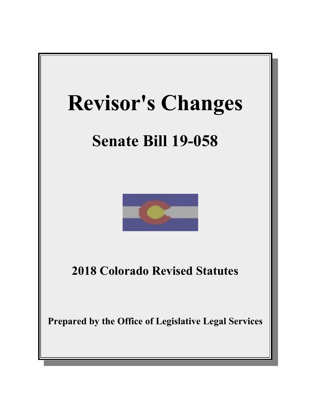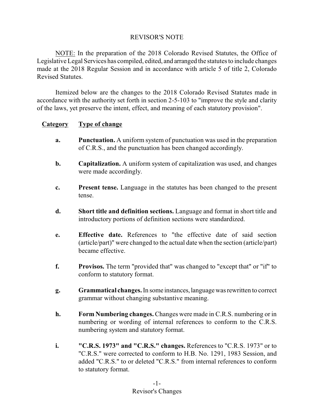# REVISOR'S NOTE

NOTE: In the preparation of the 2018 Colorado Revised Statutes, the Office of Legislative Legal Services has compiled, edited, and arranged the statutes to include changes made at the 2018 Regular Session and in accordance with article 5 of title 2, Colorado Revised Statutes.

Itemized below are the changes to the 2018 Colorado Revised Statutes made in accordance with the authority set forth in section 2-5-103 to "improve the style and clarity of the laws, yet preserve the intent, effect, and meaning of each statutory provision".

# **Category Type of change**

- **a. Punctuation.** A uniform system of punctuation was used in the preparation of C.R.S., and the punctuation has been changed accordingly.
- **b. Capitalization.** A uniform system of capitalization was used, and changes were made accordingly.
- **c. Present tense.** Language in the statutes has been changed to the present tense.
- **d. Short title and definition sections.** Language and format in short title and introductory portions of definition sections were standardized.
- **e. Effective date.** References to "the effective date of said section (article/part)" were changed to the actual date when the section (article/part) became effective.
- **f. Provisos.** The term "provided that" was changed to "except that" or "if" to conform to statutory format.
- **g. Grammatical changes.**In some instances,languagewas rewritten to correct grammar without changing substantive meaning.
- **h. Form Numbering changes.** Changes were made in C.R.S. numbering or in numbering or wording of internal references to conform to the C.R.S. numbering system and statutory format.
- **i. "C.R.S. 1973" and "C.R.S." changes.** References to "C.R.S. 1973" or to "C.R.S." were corrected to conform to H.B. No. 1291, 1983 Session, and added "C.R.S." to or deleted "C.R.S." from internal references to conform to statutory format.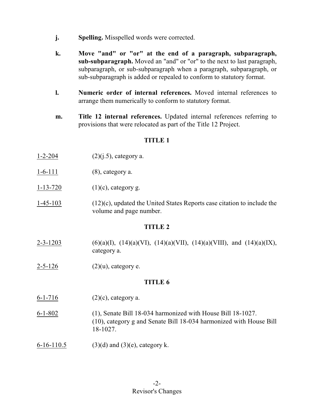- **j. Spelling.** Misspelled words were corrected.
- **k. Move "and" or "or" at the end of a paragraph, subparagraph, sub-subparagraph.** Moved an "and" or "or" to the next to last paragraph, subparagraph, or sub-subparagraph when a paragraph, subparagraph, or sub-subparagraph is added or repealed to conform to statutory format.
- **l. Numeric order of internal references.** Moved internal references to arrange them numerically to conform to statutory format.
- **m. Title 12 internal references.** Updated internal references referring to provisions that were relocated as part of the Title 12 Project.

- 1-2-204 (2)(j.5), category a.
- 1-6-111 (8), category a.
- 1-13-720  $(1)(c)$ , category g.
- 1-45-103 (12)(c), updated the United States Reports case citation to include the volume and page number.

#### **TITLE 2**

- 2-3-1203 (6)(a)(I), (14)(a)(VI), (14)(a)(VII), (14)(a)(VIII), and (14)(a)(IX), category a.
- 2-5-126 (2)(u), category e.

- 6-1-716 (2)(c), category a.
- 6-1-802 (1), Senate Bill 18-034 harmonized with House Bill 18-1027. (10), category g and Senate Bill 18-034 harmonized with House Bill 18-1027.
- 6-16-110.5 (3)(d) and (3)(e), category k.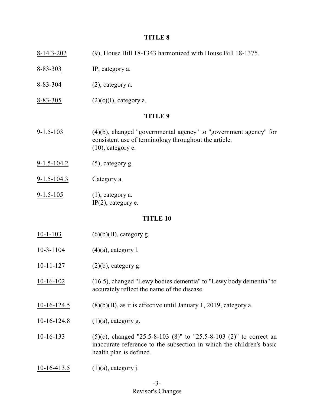| $8 - 14.3 - 202$  | (9), House Bill 18-1343 harmonized with House Bill 18-1375.                                                                                          |  |
|-------------------|------------------------------------------------------------------------------------------------------------------------------------------------------|--|
| $8 - 83 - 303$    | IP, category a.                                                                                                                                      |  |
| $8 - 83 - 304$    | $(2)$ , category a.                                                                                                                                  |  |
| $8 - 83 - 305$    | $(2)(c)(I)$ , category a.                                                                                                                            |  |
| <b>TITLE 9</b>    |                                                                                                                                                      |  |
| $9 - 1.5 - 103$   | $(4)(b)$ , changed "governmental agency" to "government agency" for<br>consistent use of terminology throughout the article.<br>$(10)$ , category e. |  |
| $9 - 1.5 - 104.2$ | $(5)$ , category g.                                                                                                                                  |  |
| $9 - 1.5 - 104.3$ | Category a.                                                                                                                                          |  |
| $9 - 1.5 - 105$   | $(1)$ , category a.<br>$IP(2)$ , category e.                                                                                                         |  |
| <b>TITLE 10</b>   |                                                                                                                                                      |  |
| $10-1-103$        | $(6)(b)(II)$ , category g.                                                                                                                           |  |
| $10-3-1104$       | $(4)(a)$ , category l.                                                                                                                               |  |
| $10-11-127$       | $(2)(b)$ , category g.                                                                                                                               |  |
| $10-16-102$       | (16.5), changed "Lewy bodies dementia" to "Lewy body dementia" to<br>accurately reflect the name of the disease.                                     |  |
| $10-16-124.5$     | $(8)(b)(II)$ , as it is effective until January 1, 2019, category a.                                                                                 |  |

- 10-16-124.8 (1)(a), category g.
- 10-16-133 (5)(c), changed "25.5-8-103 (8)" to "25.5-8-103 (2)" to correct an inaccurate reference to the subsection in which the children's basic health plan is defined.
- 10-16-413.5 (1)(a), category j.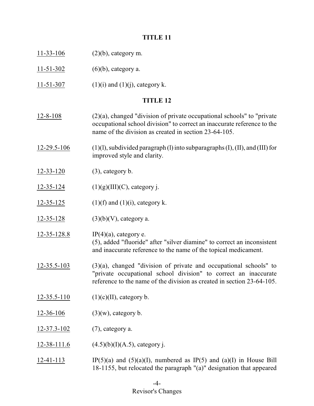- 11-33-106 (2)(b), category m.
- 11-51-302 (6)(b), category a.
- 11-51-307 (1)(i) and (1)(j), category k.

- $12-8-108$  (2)(a), changed "division of private occupational schools" to "private occupational school division" to correct an inaccurate reference to the name of the division as created in section 23-64-105.
- 12-29.5-106 (1)(l), subdivided paragraph (l) into subparagraphs  $(I)$ ,  $(II)$ , and  $(III)$  for improved style and clarity.
- 12-33-120 (3), category b.
- 12-35-124  $(1)(g)(III)(C)$ , category j.
- 12-35-125 (1)(f) and (1)(i), category k.
- $12-35-128$  (3)(b)(V), category a.
- 12-35-128.8 IP(4)(a), category e. (5), added "fluoride" after "silver diamine" to correct an inconsistent and inaccurate reference to the name of the topical medicament.
- 12-35.5-103 (3)(a), changed "division of private and occupational schools" to "private occupational school division" to correct an inaccurate reference to the name of the division as created in section 23-64-105.
- $12-35.5-110$  (1)(c)(II), category b.
- 12-36-106 (3)(w), category b.
- 12-37.3-102 (7), category a.
- 12-38-111.6  $(4.5)(b)(I)(A.5)$ , category j.
- 12-41-113 IP(5)(a) and (5)(a)(I), numbered as IP(5) and (a)(I) in House Bill 18-1155, but relocated the paragraph "(a)" designation that appeared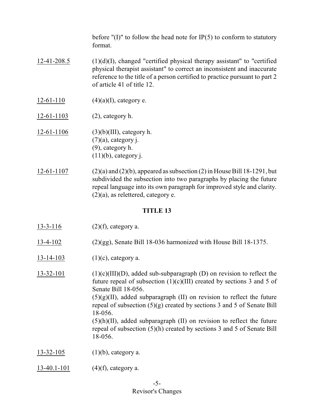before " $(I)$ " to follow the head note for IP $(5)$  to conform to statutory format.

- 12-41-208.5 (1)(d)(I), changed "certified physical therapy assistant" to "certified physical therapist assistant" to correct an inconsistent and inaccurate reference to the title of a person certified to practice pursuant to part 2 of article 41 of title 12.
- $12-61-110$  (4)(a)(I), category e.
- $12-61-1103$  (2), category h.
- 12-61-1106 (3)(b)(III), category h.  $(7)(a)$ , category j. (9), category h.  $(11)(b)$ , category j.
- 12-61-1107 (2)(a) and (2)(b), appeared as subsection (2) in House Bill 18-1291, but subdivided the subsection into two paragraphs by placing the future repeal language into its own paragraph for improved style and clarity.  $(2)(a)$ , as relettered, category e.

- 13-3-116 (2)(f), category a.
- 13-4-102 (2)(gg), Senate Bill 18-036 harmonized with House Bill 18-1375.
- $13-14-103$  (1)(c), category a.
- 13-32-101 (1)(c)(III)(D), added sub-subparagraph (D) on revision to reflect the future repeal of subsection  $(1)(c)(III)$  created by sections 3 and 5 of Senate Bill 18-056.  $(5)(g)(II)$ , added subparagraph (II) on revision to reflect the future repeal of subsection (5)(g) created by sections 3 and 5 of Senate Bill 18-056.  $(5)(h)(II)$ , added subparagraph  $(II)$  on revision to reflect the future repeal of subsection (5)(h) created by sections 3 and 5 of Senate Bill 18-056.
- 13-32-105 (1)(b), category a.
- 13-40.1-101 (4)(f), category a.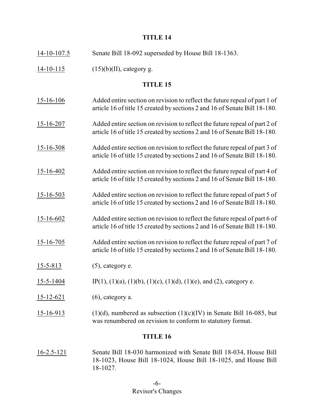| $14 - 10 - 107.5$ | Senate Bill 18-092 superseded by House Bill 18-1363.                                                                                                     |
|-------------------|----------------------------------------------------------------------------------------------------------------------------------------------------------|
| $14-10-115$       | $(15)(b)(II)$ , category g.                                                                                                                              |
|                   | <b>TITLE 15</b>                                                                                                                                          |
| $15 - 16 - 106$   | Added entire section on revision to reflect the future repeal of part 1 of<br>article 16 of title 15 created by sections 2 and 16 of Senate Bill 18-180. |
| $15 - 16 - 207$   | Added entire section on revision to reflect the future repeal of part 2 of<br>article 16 of title 15 created by sections 2 and 16 of Senate Bill 18-180. |
| $15 - 16 - 308$   | Added entire section on revision to reflect the future repeal of part 3 of<br>article 16 of title 15 created by sections 2 and 16 of Senate Bill 18-180. |
| $15 - 16 - 402$   | Added entire section on revision to reflect the future repeal of part 4 of<br>article 16 of title 15 created by sections 2 and 16 of Senate Bill 18-180. |
| $15 - 16 - 503$   | Added entire section on revision to reflect the future repeal of part 5 of<br>article 16 of title 15 created by sections 2 and 16 of Senate Bill 18-180. |
| $15 - 16 - 602$   | Added entire section on revision to reflect the future repeal of part 6 of<br>article 16 of title 15 created by sections 2 and 16 of Senate Bill 18-180. |
| $15 - 16 - 705$   | Added entire section on revision to reflect the future repeal of part 7 of<br>article 16 of title 15 created by sections 2 and 16 of Senate Bill 18-180. |
| $15 - 5 - 813$    | $(5)$ , category e.                                                                                                                                      |
| 15-5-1404         | IP(1), (1)(a), (1)(b), (1)(c), (1)(d), (1)(e), and (2), category e.                                                                                      |
| $15 - 12 - 621$   | $(6)$ , category a.                                                                                                                                      |
| 15-16-913         | $(1)(d)$ , numbered as subsection $(1)(c)(IV)$ in Senate Bill 16-085, but<br>was renumbered on revision to conform to statutory format.                  |
| <b>TITLE 16</b>   |                                                                                                                                                          |

16-2.5-121 Senate Bill 18-030 harmonized with Senate Bill 18-034, House Bill 18-1023, House Bill 18-1024, House Bill 18-1025, and House Bill 18-1027.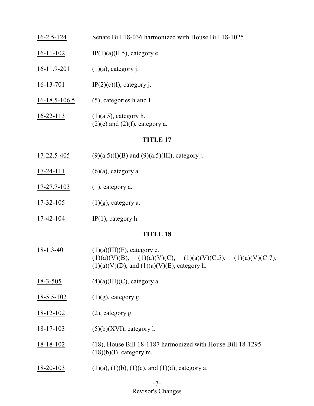# 16-2.5-124 Senate Bill 18-036 harmonized with House Bill 18-1025.

- 16-11-102 IP(1)(a)(II.5), category e.
- 16-11.9-201 (1)(a), category j.
- 16-13-701 IP(2)(c)(I), category j.
- 16-18.5-106.5 (5), categories h and l.
- 16-22-113 (1)(a.5), category h.  $(2)(e)$  and  $(2)(f)$ , category a.

## **TITLE 17**

- 17-22.5-405 (9)(a.5)(I)(B) and (9)(a.5)(III), category j.
- $17-24-111$  (6)(a), category a.
- 17-27.7-103 (1), category a.
- 17-32-105 (1)(g), category a.
- 17-42-104 IP(1), category h.

- $18-1.3-401$  (1)(a)(III)(F), category e.  $(1)(a)(V)(B), (1)(a)(V)(C), (1)(a)(V)(C.5), (1)(a)(V)(C.7),$  $(1)(a)(V)(D)$ , and  $(1)(a)(V)(E)$ , category h.
- 18-3-505 (4)(a)(III)(C), category a.
- $18-5.5-102$  (1)(g), category g.
- 18-12-102 (2), category g.
- 18-17-103 (5)(b)(XVI), category l.
- 18-18-102 (18), House Bill 18-1187 harmonized with House Bill 18-1295.  $(18)(b)(I)$ , category m.
- $18-20-103$  (1)(a), (1)(b), (1)(c), and (1)(d), category a.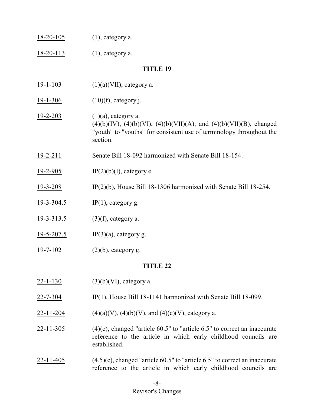|  | 18-20-105 | $(1)$ , category a. |
|--|-----------|---------------------|
|--|-----------|---------------------|

18-20-113 (1), category a.

#### **TITLE 19**

- 19-1-103 (1)(a)(VII), category a.
- $19-1-306$  (10)(f), category j.
- $19-2-203$  (1)(a), category a. (4)(b)(IV), (4)(b)(VI), (4)(b)(VII)(A), and (4)(b)(VII)(B), changed "youth" to "youths" for consistent use of terminology throughout the section.
- 19-2-211 Senate Bill 18-092 harmonized with Senate Bill 18-154.
- 19-2-905 IP(2)(b)(I), category e.
- 19-3-208 IP(2)(b), House Bill 18-1306 harmonized with Senate Bill 18-254.
- 19-3-304.5 IP(1), category g.
- 19-3-313.5 (3)(f), category a.
- 19-5-207.5 IP(3)(a), category g.
- $19-7-102$  (2)(b), category g.

- 22-1-130 (3)(b)(VI), category a.
- 22-7-304 IP(1), House Bill 18-1141 harmonized with Senate Bill 18-099.
- 22-11-204 (4)(a)(V), (4)(b)(V), and (4)(c)(V), category a.
- $22-11-305$  (4)(c), changed "article 60.5" to "article 6.5" to correct an inaccurate reference to the article in which early childhood councils are established.
- $22-11-405$  (4.5)(c), changed "article 60.5" to "article 6.5" to correct an inaccurate reference to the article in which early childhood councils are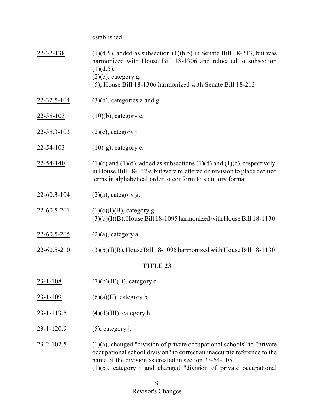established.

| 22-32-138          | $(1)(d.5)$ , added as subsection $(1)(b.5)$ in Senate Bill 18-213, but was<br>harmonized with House Bill 18-1306 and relocated to subsection<br>(1)(d.5).<br>$(2)(b)$ , category g.<br>(5), House Bill 18-1306 harmonized with Senate Bill 18-213. |  |
|--------------------|----------------------------------------------------------------------------------------------------------------------------------------------------------------------------------------------------------------------------------------------------|--|
| 22-32.5-104        | $(3)(b)$ , categories a and g.                                                                                                                                                                                                                     |  |
| $22 - 35 - 103$    | $(10)(b)$ , category e.                                                                                                                                                                                                                            |  |
| <u>22-35.3-103</u> | $(2)(c)$ , category j.                                                                                                                                                                                                                             |  |
| $22 - 54 - 103$    | $(10)(g)$ , category e.                                                                                                                                                                                                                            |  |
| 22-54-140          | $(1)(c)$ and $(1)(d)$ , added as subsections $(1)(d)$ and $(1)(c)$ , respectively,<br>in House Bill 18-1379, but were relettered on revision to place defined<br>terms in alphabetical order to conform to statutory format.                       |  |
| $22 - 60.3 - 104$  | $(2)(a)$ , category g.                                                                                                                                                                                                                             |  |
| $22 - 60.5 - 201$  | $(1)(c)(I)(B)$ , category g.<br>$(3)(b)(I)(B)$ , House Bill 18-1095 harmonized with House Bill 18-1130.                                                                                                                                            |  |
| $22 - 60.5 - 205$  | $(2)(a)$ , category a.                                                                                                                                                                                                                             |  |
| 22-60.5-210        | $(3)(b)(I)(B)$ , House Bill 18-1095 harmonized with House Bill 18-1130.                                                                                                                                                                            |  |
| <b>TITLE 23</b>    |                                                                                                                                                                                                                                                    |  |
| <u>23-1-108</u>    | $(7)(b)(II)(B)$ , category e.                                                                                                                                                                                                                      |  |
| $23 - 1 - 109$     | $(6)(a)(II)$ , category b.                                                                                                                                                                                                                         |  |
| $23 - 1 - 113.5$   | $(4)(d)(III)$ , category h.                                                                                                                                                                                                                        |  |
| $23 - 1 - 120.9$   | $(5)$ , category j.                                                                                                                                                                                                                                |  |
|                    |                                                                                                                                                                                                                                                    |  |

23-2-102.5 (1)(a), changed "division of private occupational schools" to "private occupational school division" to correct an inaccurate reference to the name of the division as created in section 23-64-105. (1)(b), category j and changed "division of private occupational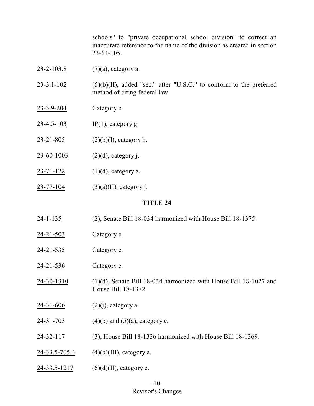schools" to "private occupational school division" to correct an inaccurate reference to the name of the division as created in section 23-64-105.

 $23-2-103.8$  (7)(a), category a.

 $23-3.1-102$  (5)(b)(II), added "sec." after "U.S.C." to conform to the preferred method of citing federal law.

- 23-3.9-204 Category e.
- 23-4.5-103 IP(1), category g.
- 23-21-805 (2)(b)(I), category b.
- 23-60-1003 (2)(d), category j.
- $23-71-122$  (1)(d), category a.
- 23-77-104 (3)(a)(II), category j.

- 24-1-135 (2), Senate Bill 18-034 harmonized with House Bill 18-1375.
- 24-21-503 Category e.
- 24-21-535 Category e.
- 24-21-536 Category e.
- 24-30-1310 (1)(d), Senate Bill 18-034 harmonized with House Bill 18-1027 and House Bill 18-1372.
- $24-31-606$  (2)(j), category a.
- $24-31-703$  (4)(b) and (5)(a), category e.
- 24-32-117 (3), House Bill 18-1336 harmonized with House Bill 18-1369.
- $24-33.5-705.4$  (4)(b)(III), category a.
- $24-33.5-1217$  (6)(d)(II), category e.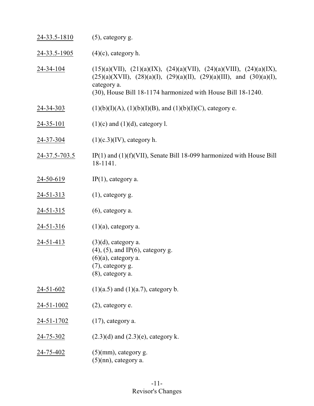| 24-33.5-1810       | $(5)$ , category g.                                                                                                                                                                                                              |
|--------------------|----------------------------------------------------------------------------------------------------------------------------------------------------------------------------------------------------------------------------------|
| $24 - 33.5 - 1905$ | $(4)(c)$ , category h.                                                                                                                                                                                                           |
| 24-34-104          | $(15)(a)(VII), (21)(a)(IX), (24)(a)(VII), (24)(a)(VIII), (24)(a)(IX),$<br>$(25)(a)(XVII), (28)(a)(I), (29)(a)(II), (29)(a)(III), and (30)(a)(I),$<br>category a.<br>(30), House Bill 18-1174 harmonized with House Bill 18-1240. |
| $24 - 34 - 303$    | $(1)(b)(I)(A), (1)(b)(I)(B),$ and $(1)(b)(I)(C)$ , category e.                                                                                                                                                                   |
| $24 - 35 - 101$    | $(1)(c)$ and $(1)(d)$ , category l.                                                                                                                                                                                              |
| 24-37-304          | $(1)(c.3)(IV)$ , category h.                                                                                                                                                                                                     |
| 24-37.5-703.5      | $IP(1)$ and $(1)(f)(VII)$ , Senate Bill 18-099 harmonized with House Bill<br>18-1141.                                                                                                                                            |
| $24 - 50 - 619$    | $IP(1)$ , category a.                                                                                                                                                                                                            |
| $24 - 51 - 313$    | $(1)$ , category g.                                                                                                                                                                                                              |
| $24 - 51 - 315$    | $(6)$ , category a.                                                                                                                                                                                                              |
| $24 - 51 - 316$    | $(1)(a)$ , category a.                                                                                                                                                                                                           |
| 24-51-413          | $(3)(d)$ , category a.<br>$(4)$ , $(5)$ , and IP $(6)$ , category g.<br>$(6)(a)$ , category a.<br>(7), category g.<br>(8), category a.                                                                                           |
| <u>24-51-602</u>   | $(1)(a.5)$ and $(1)(a.7)$ , category b.                                                                                                                                                                                          |
| $24 - 51 - 1002$   | (2), category e.                                                                                                                                                                                                                 |
| 24-51-1702         | $(17)$ , category a.                                                                                                                                                                                                             |
| <u>24-75-302</u>   | $(2.3)(d)$ and $(2.3)(e)$ , category k.                                                                                                                                                                                          |
| <u>24-75-402</u>   | $(5)(mm)$ , category g.<br>$(5)(nn)$ , category a.                                                                                                                                                                               |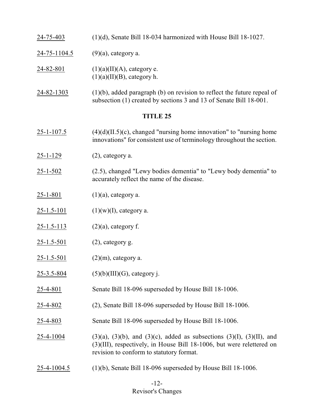- 24-75-403 (1)(d), Senate Bill 18-034 harmonized with House Bill 18-1027.
- 24-75-1104.5 (9)(a), category a.
- 24-82-801 (1)(a)(II)(A), category e.  $(1)(a)(II)(B)$ , category h.
- $24-82-1303$  (1)(b), added paragraph (b) on revision to reflect the future repeal of subsection (1) created by sections 3 and 13 of Senate Bill 18-001.

- $25$ -1-107.5 (4)(d)(II.5)(c), changed "nursing home innovation" to "nursing home innovations" for consistent use of terminology throughout the section.
- 25-1-129 (2), category a.
- 25-1-502 (2.5), changed "Lewy bodies dementia" to "Lewy body dementia" to accurately reflect the name of the disease.
- 25-1-801 (1)(a), category a.
- $25-1.5-101$  (1)(w)(I), category a.
- 25-1.5-113 (2)(a), category f.
- 25-1.5-501 (2), category g.
- 25-1.5-501 (2)(m), category a.
- 25-3.5-804  $(5)(b)(III)(G)$ , category j.
- 25-4-801 Senate Bill 18-096 superseded by House Bill 18-1006.
- 25-4-802 (2), Senate Bill 18-096 superseded by House Bill 18-1006.
- 25-4-803 Senate Bill 18-096 superseded by House Bill 18-1006.
- 25-4-1004 (3)(a), (3)(b), and (3)(c), added as subsections (3)(I), (3)(II), and (3)(III), respectively, in House Bill 18-1006, but were relettered on revision to conform to statutory format.
- 25-4-1004.5 (1)(b), Senate Bill 18-096 superseded by House Bill 18-1006.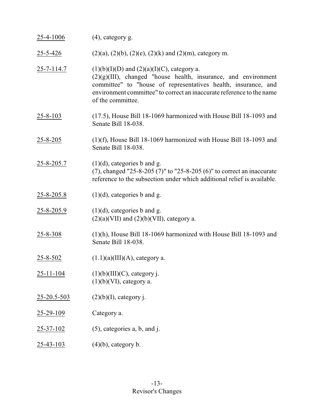| 25-4-1006        | $(4)$ , category g.                                                                                                                                                                                                                                                                  |
|------------------|--------------------------------------------------------------------------------------------------------------------------------------------------------------------------------------------------------------------------------------------------------------------------------------|
| 25-5-426         | $(2)(a)$ , $(2)(b)$ , $(2)(e)$ , $(2)(k)$ and $(2)(m)$ , category m.                                                                                                                                                                                                                 |
| $25 - 7 - 114.7$ | $(1)(b)(I)(D)$ and $(2)(a)(I)(C)$ , category a.<br>$(2)(g)(III)$ , changed "house health, insurance, and environment<br>committee" to "house of representatives health, insurance, and<br>environment committee" to correct an inaccurate reference to the name<br>of the committee. |
| $25 - 8 - 103$   | (17.5), House Bill 18-1069 harmonized with House Bill 18-1093 and<br>Senate Bill 18-038.                                                                                                                                                                                             |
| $25 - 8 - 205$   | $(1)(f)$ , House Bill 18-1069 harmonized with House Bill 18-1093 and<br>Senate Bill 18-038.                                                                                                                                                                                          |
| 25-8-205.7       | $(1)(d)$ , categories b and g.<br>(7), changed "25-8-205 (7)" to "25-8-205 (6)" to correct an inaccurate<br>reference to the subsection under which additional relief is available.                                                                                                  |
| $25 - 8 - 205.8$ | $(1)(d)$ , categories b and g.                                                                                                                                                                                                                                                       |
| $25 - 8 - 205.9$ | $(1)(d)$ , categories b and g.<br>$(2)(a)(VII)$ and $(2)(b)(VII)$ , category a.                                                                                                                                                                                                      |
| 25-8-308         | $(1)(h)$ , House Bill 18-1069 harmonized with House Bill 18-1093 and<br>Senate Bill 18-038.                                                                                                                                                                                          |
| 25-8-502         | $(1.1)(a)(III)(A)$ , category a.                                                                                                                                                                                                                                                     |
| $25 - 11 - 104$  | $(1)(b)(III)(C)$ , category j.<br>$(1)(b)(VI)$ , category a.                                                                                                                                                                                                                         |
| 25-20.5-503      | $(2)(b)(I)$ , category j.                                                                                                                                                                                                                                                            |
| $25 - 29 - 109$  | Category a.                                                                                                                                                                                                                                                                          |
| $25 - 37 - 102$  | $(5)$ , categories a, b, and j.                                                                                                                                                                                                                                                      |
| <u>25-43-103</u> | $(4)(b)$ , category b.                                                                                                                                                                                                                                                               |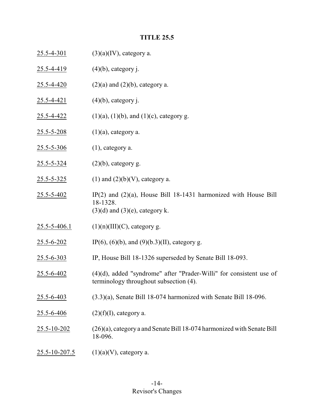# **TITLE 25.5**

| $25.5 - 4 - 301$ | $(3)(a)(IV)$ , category a.                                                                                               |
|------------------|--------------------------------------------------------------------------------------------------------------------------|
| $25.5 - 4 - 419$ | $(4)(b)$ , category j.                                                                                                   |
| $25.5 - 4 - 420$ | $(2)(a)$ and $(2)(b)$ , category a.                                                                                      |
| $25.5 - 4 - 421$ | $(4)(b)$ , category j.                                                                                                   |
| 25.5-4-422       | $(1)(a)$ , $(1)(b)$ , and $(1)(c)$ , category g.                                                                         |
| $25.5 - 5 - 208$ | $(1)(a)$ , category a.                                                                                                   |
| $25.5 - 5 - 306$ | $(1)$ , category a.                                                                                                      |
| $25.5 - 5 - 324$ | $(2)(b)$ , category g.                                                                                                   |
| $25.5 - 5 - 325$ | $(1)$ and $(2)(b)(V)$ , category a.                                                                                      |
| 25.5-5-402       | IP $(2)$ and $(2)(a)$ , House Bill 18-1431 harmonized with House Bill<br>18-1328.<br>$(3)(d)$ and $(3)(e)$ , category k. |
| 25.5-5-406.1     | $(1)(n)(III)(C)$ , category g.                                                                                           |
| $25.5 - 6 - 202$ | IP(6), (6)(b), and (9)(b.3)(II), category g.                                                                             |
| 25.5-6-303       | IP, House Bill 18-1326 superseded by Senate Bill 18-093.                                                                 |
| 25.5-6-402       | $(4)(d)$ , added "syndrome" after "Prader-Willi" for consistent use of<br>terminology throughout subsection (4).         |
| $25.5 - 6 - 403$ | $(3.3)(a)$ , Senate Bill 18-074 harmonized with Senate Bill 18-096.                                                      |
| 25.5-6-406       | $(2)(f)(I)$ , category a.                                                                                                |
| 25.5-10-202      | $(26)(a)$ , category a and Senate Bill 18-074 harmonized with Senate Bill<br>18-096.                                     |
| 25.5-10-207.5    | $(1)(a)(V)$ , category a.                                                                                                |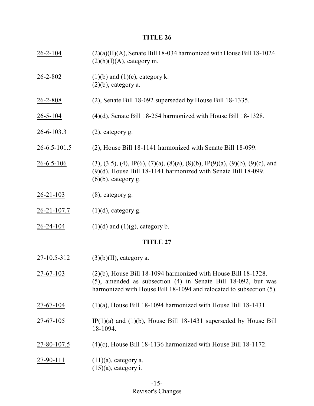26-2-104 (2)(a)(II)(A), Senate Bill 18-034 harmonized with House Bill 18-1024.  $(2)(h)(I)(A)$ , category m. 26-2-802 (1)(b) and (1)(c), category k.  $(2)(b)$ , category a. 26-2-808 (2), Senate Bill 18-092 superseded by House Bill 18-1335. 26-5-104 (4)(d), Senate Bill 18-254 harmonized with House Bill 18-1328. 26-6-103.3 (2), category g. 26-6.5-101.5 (2), House Bill 18-1141 harmonized with Senate Bill 18-099. 26-6.5-106 (3), (3.5), (4), IP(6), (7)(a), (8)(a), (8)(b), IP(9)(a), (9)(b), (9)(c), and (9)(d), House Bill 18-1141 harmonized with Senate Bill 18-099.  $(6)(b)$ , category g. 26-21-103 (8), category g.  $26-21-107.7$  (1)(d), category g. 26-24-104 (1)(d) and (1)(g), category b. **TITLE 27** 27-10.5-312 (3)(b)(II), category a. 27-67-103 (2)(b), House Bill 18-1094 harmonized with House Bill 18-1328. (5), amended as subsection (4) in Senate Bill 18-092, but was harmonized with House Bill 18-1094 and relocated to subsection (5). 27-67-104 (1)(a), House Bill 18-1094 harmonized with House Bill 18-1431.  $27-67-105$  IP(1)(a) and (1)(b), House Bill 18-1431 superseded by House Bill 18-1094. 27-80-107.5 (4)(c), House Bill 18-1136 harmonized with House Bill 18-1172. 27-90-111  $(11)(a)$ , category a.  $(15)(a)$ , category i.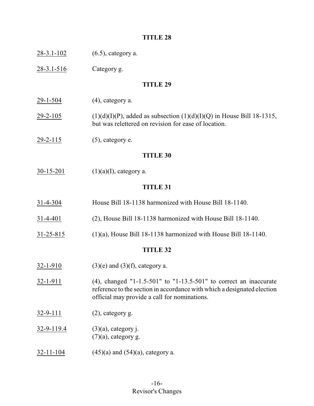- 28-3.1-102 (6.5), category a.
- 28-3.1-516 Category g.

#### **TITLE 29**

- $29-1-504$  (4), category a.
- 29-2-105 (1)(d)(I)(P), added as subsection  $(1)(d)(I)(Q)$  in House Bill 18-1315, but was relettered on revision for ease of location.
- $29-2-115$  (5), category e.

#### **TITLE 30**

 $30-15-201$  (1)(a)(I), category a.

#### **TITLE 31**

- 31-4-304 House Bill 18-1138 harmonized with House Bill 18-1140.
- 31-4-401 (2), House Bill 18-1138 harmonized with House Bill 18-1140.
- 31-25-815 (1)(a), House Bill 18-1138 harmonized with House Bill 18-1140.

- $32-1-910$  (3)(e) and (3)(f), category a.
- 32-1-911 (4), changed "1-1.5-501" to "1-13.5-501" to correct an inaccurate reference to the section in accordance with which a designated election official may provide a call for nominations.
- 32-9-111 (2), category g.
- 32-9<u>-119.4</u> (3)(a), category j.  $(7)(a)$ , category g.
- $32-11-104$  (45)(a) and (54)(a), category a.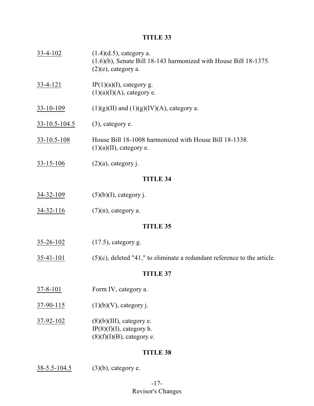- 33-4-102 (1.4)(d.5), category a. (1.6)(b), Senate Bill 18-143 harmonized with House Bill 18-1375.  $(2)(e)$ , category a. 33-4-121 IP(1)(a)(I), category g.  $(1)(a)(I)(A)$ , category e. 33-10-109 (1)(g)(II) and (1)(g)(IV)(A), category a.
- 33-10.5-104.5 (3), category e.
- 33-10.5-108 House Bill 18-1008 harmonized with House Bill 18-1338.  $(1)(a)(II)$ , category e.
- 33-15-106 (2)(a), category j.

#### **TITLE 34**

- 34-32-109 (5)(b)(I), category j.
- $34-32-116$  (7)(n), category a.

#### **TITLE 35**

- 35-26-102 (17.5), category g.
- $35-41-101$  (5)(c), deleted "41," to eliminate a redundant reference to the article.

#### **TITLE 37**

- 37-8-101 Form IV, category a.
- $37-90-115$  (1)(b)(V), category j.
- $37-92-102$  (8)(b)(III), category e. IP $(8)(f)(I)$ , category h.  $(8)(f)(I)(B)$ , category e.

#### **TITLE 38**

 $38-5.5-104.5$  (3)(b), category e.

# -17- Revisor's Changes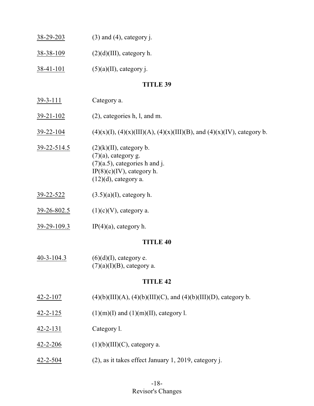| $38 - 29 - 203$ | $(3)$ and $(4)$ , category j. |
|-----------------|-------------------------------|
| 38-38-109       | $(2)(d)(III)$ , category h.   |
| $38-41-101$     | $(5)(a)(II)$ , category j.    |

- 39-3-111 Category a.
- 39-21-102 (2), categories h, l, and m.
- 39-22-104 (4)(x)(I), (4)(x)(III)(A), (4)(x)(III)(B), and (4)(x)(IV), category b.
- 39-22-514.5 (2)(k)(II), category b.  $(7)(a)$ , category g.  $(7)(a.5)$ , categories h and j.  $IP(8)(c)(IV)$ , category h.  $(12)(d)$ , category a.
- 39-22-522 (3.5)(a)(I), category h.
- $39-26-802.5$  (1)(c)(V), category a.
- 39-29-109.3 IP(4)(a), category h.

#### **TITLE 40**

 $40-3-104.3$  (6)(d)(I), category e.  $(7)(a)(I)(B)$ , category a.

- $\frac{42-2-107}{4}$  (4)(b)(III)(A), (4)(b)(III)(C), and (4)(b)(III)(D), category b.
- 42-2-125 (1)(m)(I) and (1)(m)(II), category l.
- 42-2-131 Category l.
- $42 2 206$  (1)(b)(III)(C), category a.
- 42-2-504 (2), as it takes effect January 1, 2019, category j.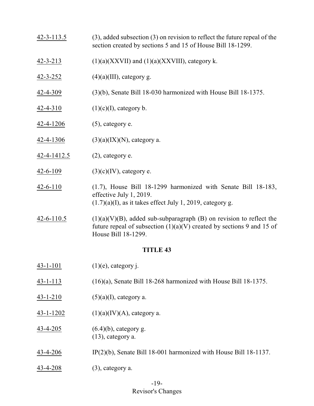- 42-3-113.5 (3), added subsection (3) on revision to reflect the future repeal of the section created by sections 5 and 15 of House Bill 18-1299.
- 42-3-213  $(1)(a)(XXXII)$  and  $(1)(a)(XXXIII)$ , category k.
- 42-3-252 (4)(a)(III), category g.
- 42-4-309 (3)(b), Senate Bill 18-030 harmonized with House Bill 18-1375.
- 42-4-310  $(1)(c)(I)$ , category b.
- 42-4-1206 (5), category e.
- 42-4-1306 (3)(a)(IX)(N), category a.
- 42-4-1412.5 (2), category e.
- $\frac{42-6-109}{2}$  (3)(c)(IV), category e.
- 42-6-110 (1.7), House Bill 18-1299 harmonized with Senate Bill 18-183, effective July 1, 2019.  $(1.7)(a)$ (I), as it takes effect July 1, 2019, category g.
- $42-6-110.5$  (1)(a)(V)(B), added sub-subparagraph (B) on revision to reflect the future repeal of subsection  $(1)(a)(V)$  created by sections 9 and 15 of House Bill 18-1299.

 $43-1-101$  (1)(e), category j. 43-1-113 (16)(a), Senate Bill 18-268 harmonized with House Bill 18-1375.  $43-1-210$  (5)(a)(I), category a. 43-1-1202  $(1)(a)(IV)(A)$ , category a. 43-4-205 (6.4)(b), category g. (13), category a. 43-4-206 IP(2)(b), Senate Bill 18-001 harmonized with House Bill 18-1137. 43-4-208 (3), category a.

# -19-

# Revisor's Changes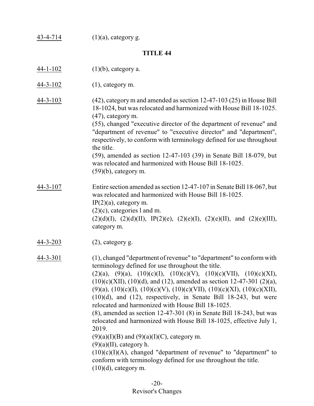43-4-714 (1)(a), category g.

#### **TITLE 44**

- 44-1-102 (1)(b), category a.
- 44-3-102 (1), category m.
- 44-3-103 (42), category m and amended as section 12-47-103 (25) in House Bill 18-1024, but was relocated and harmonized with House Bill 18-1025. (47), category m.

(55), changed "executive director of the department of revenue" and "department of revenue" to "executive director" and "department", respectively, to conform with terminology defined for use throughout the title.

(59), amended as section 12-47-103 (39) in Senate Bill 18-079, but was relocated and harmonized with House Bill 18-1025. (59)(b), category m.

- 44-3-107 Entire section amended as section 12-47-107 in Senate Bill 18-067, but was relocated and harmonized with House Bill 18-1025.  $IP(2)(a)$ , category m. (2)(c), categories l and m.  $(2)(d)(I), (2)(d)(II), IP(2)(e), (2)(e)(I), (2)(e)(II), and (2)(e)(III),$ category m.
- 44-3-203 (2), category g.

44-3-301 (1), changed "department of revenue" to "department" to conform with terminology defined for use throughout the title.

 $(2)(a)$ ,  $(9)(a)$ ,  $(10)(c)(I)$ ,  $(10)(c)(V)$ ,  $(10)(c)(VII)$ ,  $(10)(c)(XI)$ ,  $(10)(c)(XII), (10)(d),$  and  $(12)$ , amended as section 12-47-301  $(2)(a)$ , (9)(a), (10)(c)(I), (10)(c)(V), (10)(c)(VII), (10)(c)(XI), (10)(c)(XII), (10)(d), and (12), respectively, in Senate Bill 18-243, but were relocated and harmonized with House Bill 18-1025.

(8), amended as section 12-47-301 (8) in Senate Bill 18-243, but was relocated and harmonized with House Bill 18-1025, effective July 1, 2019.

 $(9)(a)(I)(B)$  and  $(9)(a)(I)(C)$ , category m.

 $(9)(a)(II)$ , category h.

 $(10)(c)(I)(A)$ , changed "department of revenue" to "department" to conform with terminology defined for use throughout the title.  $(10)(d)$ , category m.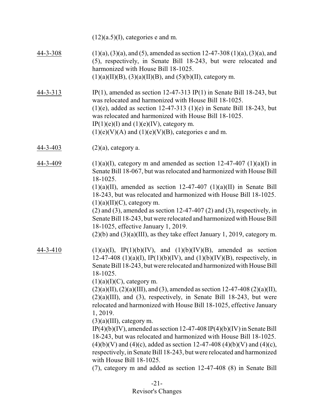|                | $(12)(a.5)(I)$ , categories e and m.                                                                                                                                                                                                                                                                                                                                                                                                                                                                                                                                                                                                                                                                                                                                                                                                                                                                                                                                 |
|----------------|----------------------------------------------------------------------------------------------------------------------------------------------------------------------------------------------------------------------------------------------------------------------------------------------------------------------------------------------------------------------------------------------------------------------------------------------------------------------------------------------------------------------------------------------------------------------------------------------------------------------------------------------------------------------------------------------------------------------------------------------------------------------------------------------------------------------------------------------------------------------------------------------------------------------------------------------------------------------|
| $44 - 3 - 308$ | $(1)(a)$ , $(3)(a)$ , and $(5)$ , amended as section 12-47-308 $(1)(a)$ , $(3)(a)$ , and<br>(5), respectively, in Senate Bill 18-243, but were relocated and<br>harmonized with House Bill 18-1025.<br>$(1)(a)(II)(B)$ , $(3)(a)(II)(B)$ , and $(5)(b)(II)$ , category m.                                                                                                                                                                                                                                                                                                                                                                                                                                                                                                                                                                                                                                                                                            |
| 44-3-313       | IP(1), amended as section 12-47-313 IP(1) in Senate Bill 18-243, but<br>was relocated and harmonized with House Bill 18-1025.<br>$(1)(e)$ , added as section 12-47-313 $(1)(e)$ in Senate Bill 18-243, but<br>was relocated and harmonized with House Bill 18-1025.<br>IP(1)(e)(I) and (1)(e)(IV), category m.<br>$(1)(e)(V)(A)$ and $(1)(e)(V)(B)$ , categories e and m.                                                                                                                                                                                                                                                                                                                                                                                                                                                                                                                                                                                            |
| $44 - 3 - 403$ | $(2)(a)$ , category a.                                                                                                                                                                                                                                                                                                                                                                                                                                                                                                                                                                                                                                                                                                                                                                                                                                                                                                                                               |
| 44-3-409       | $(1)(a)(I)$ , category m and amended as section 12-47-407 $(1)(a)(I)$ in<br>Senate Bill 18-067, but was relocated and harmonized with House Bill<br>18-1025.<br>$(1)(a)(II)$ , amended as section 12-47-407 $(1)(a)(II)$ in Senate Bill<br>18-243, but was relocated and harmonized with House Bill 18-1025.<br>$(1)(a)(II)(C)$ , category m.<br>$(2)$ and $(3)$ , amended as section 12-47-407 $(2)$ and $(3)$ , respectively, in<br>Senate Bill 18-243, but were relocated and harmonized with House Bill<br>18-1025, effective January 1, 2019.<br>$(2)(b)$ and $(3)(a)(III)$ , as they take effect January 1, 2019, category m.                                                                                                                                                                                                                                                                                                                                  |
| 44-3-410       | $(1)(a)(I)$ , IP $(1)(b)(IV)$ , and $(1)(b)(IV)(B)$ , amended as section<br>12-47-408 (1)(a)(I), IP(1)(b)(IV), and (1)(b)(IV)(B), respectively, in<br>Senate Bill 18-243, but were relocated and harmonized with House Bill<br>18-1025.<br>$(1)(a)(I)(C)$ , category m.<br>$(2)(a)(II), (2)(a)(III), and (3), amended as section 12-47-408 (2)(a)(II),$<br>$(2)(a)(III)$ , and $(3)$ , respectively, in Senate Bill 18-243, but were<br>relocated and harmonized with House Bill 18-1025, effective January<br>1, 2019.<br>$(3)(a)(III)$ , category m.<br>IP(4)(b)(IV), amended as section 12-47-408 IP(4)(b)(IV) in Senate Bill<br>18-243, but was relocated and harmonized with House Bill 18-1025.<br>$(4)(b)(V)$ and $(4)(c)$ , added as section 12-47-408 $(4)(b)(V)$ and $(4)(c)$ ,<br>respectively, in Senate Bill 18-243, but were relocated and harmonized<br>with House Bill 18-1025.<br>(7), category m and added as section 12-47-408 (8) in Senate Bill |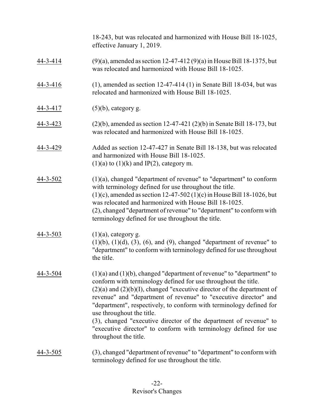18-243, but was relocated and harmonized with House Bill 18-1025, effective January 1, 2019.

- 44-3-414 (9)(a), amended as section 12-47-412 (9)(a) in HouseBill 18-1375, but was relocated and harmonized with House Bill 18-1025.
- 44-3-416 (1), amended as section 12-47-414 (1) in Senate Bill 18-034, but was relocated and harmonized with House Bill 18-1025.
- 44-3-417 (5)(b), category g.
- 44-3-423 (2)(b), amended as section 12-47-421 (2)(b) in Senate Bill 18-173, but was relocated and harmonized with House Bill 18-1025.
- 44-3-429 Added as section 12-47-427 in Senate Bill 18-138, but was relocated and harmonized with House Bill 18-1025.  $(1)(a)$  to  $(1)(k)$  and IP(2), category m.
- 44-3-502 (1)(a), changed "department of revenue" to "department" to conform with terminology defined for use throughout the title.  $(1)(c)$ , amended as section 12-47-502  $(1)(c)$  in House Bill 18-1026, but was relocated and harmonized with House Bill 18-1025. (2), changed "department of revenue" to "department" to conformwith terminology defined for use throughout the title.
- 44-3-503 (1)(a), category g.  $(1)(b)$ ,  $(1)(d)$ ,  $(3)$ ,  $(6)$ , and  $(9)$ , changed "department of revenue" to "department" to conform with terminology defined for use throughout the title.
- $44-3-504$  (1)(a) and (1)(b), changed "department of revenue" to "department" to conform with terminology defined for use throughout the title.  $(2)(a)$  and  $(2)(b)(I)$ , changed "executive director of the department of revenue" and "department of revenue" to "executive director" and "department", respectively, to conform with terminology defined for use throughout the title. (3), changed "executive director of the department of revenue" to "executive director" to conform with terminology defined for use throughout the title.
- 44-3-505 (3), changed "department of revenue" to "department" to conformwith terminology defined for use throughout the title.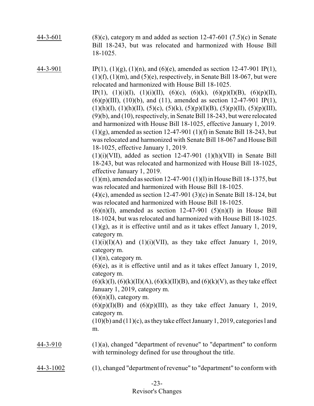- 44-3-601 (8)(c), category m and added as section  $12-47-601$  (7.5)(c) in Senate Bill 18-243, but was relocated and harmonized with House Bill 18-1025.
- 44-3-901 IP(1), (1)(g), (1)(n), and (6)(e), amended as section 12-47-901 IP(1),  $(1)(f)$ ,  $(1)(m)$ , and  $(5)(e)$ , respectively, in Senate Bill 18-067, but were relocated and harmonized with House Bill 18-1025.

IP(1), (1)(i)(I), (1)(i)(II), (6)(c), (6)(k), (6)(p)(I)(B), (6)(p)(II),  $(6)(p)(III)$ ,  $(10)(b)$ , and  $(11)$ , amended as section 12-47-901 IP(1),  $(1)(h)(I), (1)(h)(II), (5)(c), (5)(k), (5)(p)(I)(B), (5)(p)(II), (5)(p)(III),$ (9)(b), and (10), respectively, in Senate Bill 18-243, but were relocated and harmonized with House Bill 18-1025, effective January 1, 2019.  $(1)(g)$ , amended as section 12-47-901  $(1)(f)$  in Senate Bill 18-243, but was relocated and harmonized with Senate Bill 18-067 and House Bill 18-1025, effective January 1, 2019.

 $(1)(i)(VII)$ , added as section 12-47-901  $(1)(h)(VII)$  in Senate Bill 18-243, but was relocated and harmonized with House Bill 18-1025, effective January 1, 2019.

 $(1)(m)$ , amended as section 12-47-901  $(1)(1)$  in House Bill 18-1375, but was relocated and harmonized with House Bill 18-1025.

(4)(c), amended as section 12-47-901 (3)(c) in Senate Bill 18-124, but was relocated and harmonized with House Bill 18-1025.

 $(6)(n)(I)$ , amended as section 12-47-901  $(5)(n)(I)$  in House Bill 18-1024, but was relocated and harmonized with House Bill 18-1025. (1)(g), as it is effective until and as it takes effect January 1, 2019, category m.

 $(1)(i)(I)(A)$  and  $(1)(i)(VII)$ , as they take effect January 1, 2019, category m.

 $(1)(n)$ , category m.

(6)(e), as it is effective until and as it takes effect January 1, 2019, category m.

 $(6)(k)(I), (6)(k)(II)(A), (6)(k)(II)(B), and (6)(k)(V),$  as they take effect January 1, 2019, category m.

 $(6)(n)(I)$ , category m.

 $(6)(p)(I)(B)$  and  $(6)(p)(III)$ , as they take effect January 1, 2019, category m.

 $(10)(b)$  and  $(11)(c)$ , as they take effect January 1, 2019, categories l and m.

- 44-3-910 (1)(a), changed "department of revenue" to "department" to conform with terminology defined for use throughout the title.
- 44-3-1002 (1), changed "department of revenue" to "department" to conform with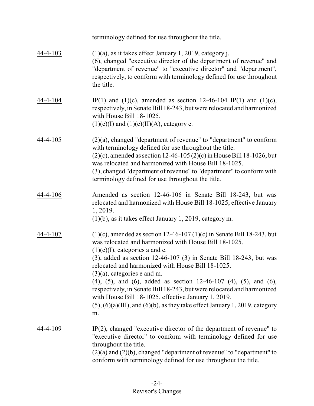|                | terminology defined for use throughout the title.                                                                                                                                                                                                                                                                                                                                                                                                                                                                                                                                                                                                                |
|----------------|------------------------------------------------------------------------------------------------------------------------------------------------------------------------------------------------------------------------------------------------------------------------------------------------------------------------------------------------------------------------------------------------------------------------------------------------------------------------------------------------------------------------------------------------------------------------------------------------------------------------------------------------------------------|
| $44 - 4 - 103$ | $(1)(a)$ , as it takes effect January 1, 2019, category j.<br>(6), changed "executive director of the department of revenue" and<br>"department of revenue" to "executive director" and "department",<br>respectively, to conform with terminology defined for use throughout<br>the title.                                                                                                                                                                                                                                                                                                                                                                      |
| 44-4-104       | IP(1) and (1)(c), amended as section 12-46-104 IP(1) and (1)(c),<br>respectively, in Senate Bill 18-243, but were relocated and harmonized<br>with House Bill 18-1025.<br>$(1)(c)(I)$ and $(1)(c)(II)(A)$ , category e.                                                                                                                                                                                                                                                                                                                                                                                                                                          |
| 44-4-105       | $(2)(a)$ , changed "department of revenue" to "department" to conform<br>with terminology defined for use throughout the title.<br>$(2)(c)$ , amended as section 12-46-105 $(2)(c)$ in House Bill 18-1026, but<br>was relocated and harmonized with House Bill 18-1025.<br>(3), changed "department of revenue" to "department" to conform with<br>terminology defined for use throughout the title.                                                                                                                                                                                                                                                             |
| 44-4-106       | Amended as section 12-46-106 in Senate Bill 18-243, but was<br>relocated and harmonized with House Bill 18-1025, effective January<br>1, 2019.<br>$(1)(b)$ , as it takes effect January 1, 2019, category m.                                                                                                                                                                                                                                                                                                                                                                                                                                                     |
| 44-4-107       | $(1)(c)$ , amended as section 12-46-107 $(1)(c)$ in Senate Bill 18-243, but<br>was relocated and harmonized with House Bill 18-1025.<br>$(1)(c)(I)$ , categories a and e.<br>$(3)$ , added as section 12-46-107 $(3)$ in Senate Bill 18-243, but was<br>relocated and harmonized with House Bill 18-1025.<br>$(3)(a)$ , categories e and m.<br>$(4)$ , $(5)$ , and $(6)$ , added as section 12-46-107 $(4)$ , $(5)$ , and $(6)$ ,<br>respectively, in Senate Bill 18-243, but were relocated and harmonized<br>with House Bill 18-1025, effective January 1, 2019.<br>$(5)$ , $(6)(a)(III)$ , and $(6)(b)$ , as they take effect January 1, 2019, category<br>m. |
| 44-4-109       | $IP(2)$ , changed "executive director of the department of revenue" to<br>"executive director" to conform with terminology defined for use<br>throughout the title.<br>$(2)(a)$ and $(2)(b)$ , changed "department of revenue" to "department" to<br>conform with terminology defined for use throughout the title.                                                                                                                                                                                                                                                                                                                                              |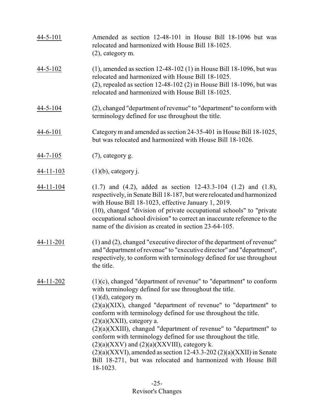| $44 - 5 - 101$   | Amended as section 12-48-101 in House Bill 18-1096 but was<br>relocated and harmonized with House Bill 18-1025.<br>$(2)$ , category m.                                                                                                                                                                                                                                                                                                                                                                                                                                                                                                                                                   |
|------------------|------------------------------------------------------------------------------------------------------------------------------------------------------------------------------------------------------------------------------------------------------------------------------------------------------------------------------------------------------------------------------------------------------------------------------------------------------------------------------------------------------------------------------------------------------------------------------------------------------------------------------------------------------------------------------------------|
| $44 - 5 - 102$   | $(1)$ , amended as section 12-48-102 $(1)$ in House Bill 18-1096, but was<br>relocated and harmonized with House Bill 18-1025.<br>$(2)$ , repealed as section 12-48-102 $(2)$ in House Bill 18-1096, but was<br>relocated and harmonized with House Bill 18-1025.                                                                                                                                                                                                                                                                                                                                                                                                                        |
| $44 - 5 - 104$   | (2), changed "department of revenue" to "department" to conform with<br>terminology defined for use throughout the title.                                                                                                                                                                                                                                                                                                                                                                                                                                                                                                                                                                |
| $44 - 6 - 101$   | Category m and amended as section 24-35-401 in House Bill 18-1025,<br>but was relocated and harmonized with House Bill 18-1026.                                                                                                                                                                                                                                                                                                                                                                                                                                                                                                                                                          |
| $44 - 7 - 105$   | $(7)$ , category g.                                                                                                                                                                                                                                                                                                                                                                                                                                                                                                                                                                                                                                                                      |
| <u>44-11-103</u> | $(1)(b)$ , category j.                                                                                                                                                                                                                                                                                                                                                                                                                                                                                                                                                                                                                                                                   |
| 44-11-104        | $(1.7)$ and $(4.2)$ , added as section 12-43.3-104 $(1.2)$ and $(1.8)$ ,<br>respectively, in Senate Bill 18-187, but were relocated and harmonized<br>with House Bill 18-1023, effective January 1, 2019.<br>(10), changed "division of private occupational schools" to "private<br>occupational school division" to correct an inaccurate reference to the<br>name of the division as created in section 23-64-105.                                                                                                                                                                                                                                                                    |
| 44-11-201        | $(1)$ and $(2)$ , changed "executive director of the department of revenue"<br>and "department of revenue" to "executive director" and "department",<br>respectively, to conform with terminology defined for use throughout<br>the title.                                                                                                                                                                                                                                                                                                                                                                                                                                               |
| 44-11-202        | $(1)(c)$ , changed "department of revenue" to "department" to conform<br>with terminology defined for use throughout the title.<br>$(1)(d)$ , category m.<br>$(2)(a)(XIX)$ , changed "department of revenue" to "department" to<br>conform with terminology defined for use throughout the title.<br>$(2)(a)(XXII)$ , category a.<br>$(2)(a)(XXIII)$ , changed "department of revenue" to "department" to<br>conform with terminology defined for use throughout the title.<br>$(2)(a)(XXX)$ and $(2)(a)(XXXIII)$ , category k.<br>$(2)(a)(XXVI)$ , amended as section 12-43.3-202 $(2)(a)(XXII)$ in Senate<br>Bill 18-271, but was relocated and harmonized with House Bill<br>18-1023. |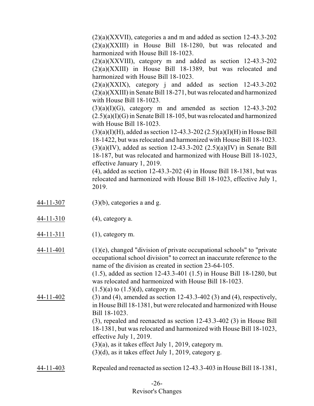$(2)(a)(XXVII)$ , categories a and m and added as section 12-43.3-202 (2)(a)(XXIII) in House Bill 18-1280, but was relocated and harmonized with House Bill 18-1023.

(2)(a)(XXVIII), category m and added as section 12-43.3-202 (2)(a)(XXIII) in House Bill 18-1389, but was relocated and harmonized with House Bill 18-1023.

 $(2)(a)(XXXIX)$ , category j and added as section 12-43.3-202 (2)(a)(XXIII) in Senate Bill 18-271, but was relocated and harmonized with House Bill 18-1023.

 $(3)(a)(I)(G)$ , category m and amended as section 12-43.3-202  $(2.5)(a)(I)(G)$  in Senate Bill 18-105, but was relocated and harmonized with House Bill 18-1023.

 $(3)(a)(I)(H)$ , added as section 12-43.3-202  $(2.5)(a)(I)(H)$  in House Bill 18-1422, but was relocated and harmonized with House Bill 18-1023.  $(3)(a)(IV)$ , added as section 12-43.3-202  $(2.5)(a)(IV)$  in Senate Bill 18-187, but was relocated and harmonized with House Bill 18-1023, effective January 1, 2019.

(4), added as section 12-43.3-202 (4) in House Bill 18-1381, but was relocated and harmonized with House Bill 18-1023, effective July 1, 2019.

- 44-11-307 (3)(b), categories a and g.
- 44-11-310 (4), category a.
- 44-11-311 (1), category m.

 $44-11-401$  (1)(e), changed "division of private occupational schools" to "private occupational school division" to correct an inaccurate reference to the name of the division as created in section 23-64-105.

> (1.5), added as section 12-43.3-401 (1.5) in House Bill 18-1280, but was relocated and harmonized with House Bill 18-1023.

 $(1.5)(a)$  to  $(1.5)(d)$ , category m. 44-11-402 (3) and (4), amended as section 12-43.3-402 (3) and (4), respectively, in House Bill 18-1381, but were relocated and harmonized with House Bill 18-1023.

(3), repealed and reenacted as section 12-43.3-402 (3) in House Bill 18-1381, but was relocated and harmonized with House Bill 18-1023, effective July 1, 2019.

- (3)(a), as it takes effect July 1, 2019, category m.
- $(3)(d)$ , as it takes effect July 1, 2019, category g.
- 44-11-403 Repealed and reenacted as section 12-43.3-403 in House Bill 18-1381,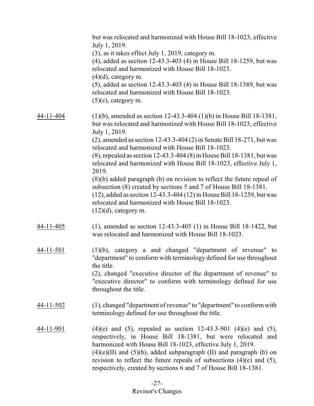|                  | but was relocated and harmonized with House Bill 18-1023, effective<br>July 1, 2019.<br>(3), as it takes effect July 1, 2019, category m.<br>$(4)$ , added as section 12-43.3-403 $(4)$ in House Bill 18-1259, but was<br>relocated and harmonized with House Bill 18-1023.<br>$(4)(d)$ , category m.<br>$(5)$ , added as section 12-43.3-403 (4) in House Bill 18-1389, but was<br>relocated and harmonized with House Bill 18-1023.<br>$(5)(c)$ , category m. |
|------------------|-----------------------------------------------------------------------------------------------------------------------------------------------------------------------------------------------------------------------------------------------------------------------------------------------------------------------------------------------------------------------------------------------------------------------------------------------------------------|
| 44-11-404        | $(1)(b)$ , amended as section 12-43.3-404 $(1)(b)$ in House Bill 18-1381,<br>but was relocated and harmonized with House Bill 18-1023, effective<br>July 1, 2019.<br>$(2)$ , amended as section 12-43.3-404 $(2)$ in Senate Bill 18-271, but was                                                                                                                                                                                                                |
|                  | relocated and harmonized with House Bill 18-1023.<br>$(8)$ , repealed as section 12-43.3-404 $(8)$ in House Bill 18-1381, but was<br>relocated and harmonized with House Bill 18-1023, effective July 1,<br>2019.                                                                                                                                                                                                                                               |
|                  | $(8)(b)$ added paragraph $(b)$ on revision to reflect the future repeal of<br>subsection (8) created by sections 5 and 7 of House Bill 18-1381.<br>$(12)$ , added as section 12-43.3-404 $(12)$ in House Bill 18-1259, but was<br>relocated and harmonized with House Bill 18-1023.<br>$(12)(d)$ , category m.                                                                                                                                                  |
| 44-11-405        | $(1)$ , amended as section 12-43.3-405 $(1)$ in House Bill 18-1422, but<br>was relocated and harmonized with House Bill 18-1023.                                                                                                                                                                                                                                                                                                                                |
| 44-11-501        | $(1)(b)$ , category a and changed "department of revenue" to<br>"department" to conform with terminology defined for use throughout<br>the title.<br>(2), changed "executive director of the department of revenue" to<br>"executive director" to conform with terminology defined for use<br>throughout the title.                                                                                                                                             |
| 44-11-502        | (1), changed "department of revenue" to "department" to conform with<br>terminology defined for use throughout the title.                                                                                                                                                                                                                                                                                                                                       |
| <u>44-11-901</u> | $(4)(e)$ and $(5)$ , repealed as section 12-43.3-901 $(4)(e)$ and $(5)$ ,<br>respectively, in House Bill 18-1381, but were relocated and<br>harmonized with House Bill 18-1023, effective July 1, 2019.<br>$(4)(e)(II)$ and $(5)(b)$ , added subparagraph $(II)$ and paragraph $(b)$ on<br>revision to reflect the future repeals of subsections $(4)(e)$ and $(5)$ ,<br>respectively, created by sections 6 and 7 of House Bill 18-1381.                       |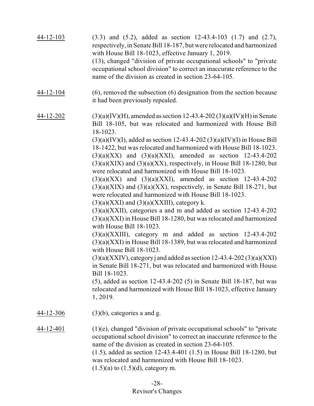| 44-12-103 | $(3.3)$ and $(5.2)$ , added as section 12-43.4-103 $(1.7)$ and $(2.7)$ ,<br>respectively, in Senate Bill 18-187, but were relocated and harmonized<br>with House Bill 18-1023, effective January 1, 2019.<br>(13), changed "division of private occupational schools" to "private"<br>occupational school division" to correct an inaccurate reference to the<br>name of the division as created in section 23-64-105.                                                                                                                                                                                                                                                                                                                                                                                                                                                                                                                                                                                                                                                                                                                                                                                                                                                                                                                                                                                                                                                     |
|-----------|----------------------------------------------------------------------------------------------------------------------------------------------------------------------------------------------------------------------------------------------------------------------------------------------------------------------------------------------------------------------------------------------------------------------------------------------------------------------------------------------------------------------------------------------------------------------------------------------------------------------------------------------------------------------------------------------------------------------------------------------------------------------------------------------------------------------------------------------------------------------------------------------------------------------------------------------------------------------------------------------------------------------------------------------------------------------------------------------------------------------------------------------------------------------------------------------------------------------------------------------------------------------------------------------------------------------------------------------------------------------------------------------------------------------------------------------------------------------------|
| 44-12-104 | $(6)$ , removed the subsection $(6)$ designation from the section because<br>it had been previously repealed.                                                                                                                                                                                                                                                                                                                                                                                                                                                                                                                                                                                                                                                                                                                                                                                                                                                                                                                                                                                                                                                                                                                                                                                                                                                                                                                                                              |
| 44-12-202 | $(3)(a)(IV)(H)$ , amended as section 12-43.4-202 $(3)(a)(IV)(H)$ in Senate<br>Bill 18-105, but was relocated and harmonized with House Bill<br>18-1023.<br>$(3)(a)(IV)(I)$ , added as section 12-43.4-202 $(3)(a)(IV)(I)$ in House Bill<br>18-1422, but was relocated and harmonized with House Bill 18-1023.<br>$(3)(a)(XX)$ and $(3)(a)(XX)$ , amended as section 12-43.4-202<br>$(3)(a)(XIX)$ and $(3)(a)(XX)$ , respectively, in House Bill 18-1280, but<br>were relocated and harmonized with House Bill 18-1023.<br>$(3)(a)(XX)$ and $(3)(a)(XX)$ , amended as section 12-43.4-202<br>$(3)(a)(XIX)$ and $(3)(a)(XX)$ , respectively, in Senate Bill 18-271, but<br>were relocated and harmonized with House Bill 18-1023.<br>$(3)(a)(XXI)$ and $(3)(a)(XXIII)$ , category k.<br>$(3)(a)(XXII)$ , categories a and m and added as section 12-43.4-202<br>$(3)(a)(XXI)$ in House Bill 18-1280, but was relocated and harmonized<br>with House Bill 18-1023.<br>$(3)(a)(XXIII)$ , category m and added as section 12-43.4-202<br>$(3)(a)(XXI)$ in House Bill 18-1389, but was relocated and harmonized<br>with House Bill 18-1023.<br>$(3)(a)(XXIV)$ , category j and added as section 12-43.4-202 $(3)(a)(XXI)$<br>in Senate Bill 18-271, but was relocated and harmonized with House<br>Bill 18-1023.<br>$(5)$ , added as section 12-43.4-202 $(5)$ in Senate Bill 18-187, but was<br>relocated and harmonized with House Bill 18-1023, effective January<br>1, 2019. |
| 44-12-306 | $(3)(b)$ , categories a and g.                                                                                                                                                                                                                                                                                                                                                                                                                                                                                                                                                                                                                                                                                                                                                                                                                                                                                                                                                                                                                                                                                                                                                                                                                                                                                                                                                                                                                                             |
| 44-12-401 | $(1)(e)$ , changed "division of private occupational schools" to "private"<br>occupational school division" to correct an inaccurate reference to the<br>name of the division as created in section 23-64-105.<br>$(1.5)$ , added as section 12-43.4-401 $(1.5)$ in House Bill 18-1280, but<br>was relocated and harmonized with House Bill 18-1023.<br>$(1.5)(a)$ to $(1.5)(d)$ , category m.                                                                                                                                                                                                                                                                                                                                                                                                                                                                                                                                                                                                                                                                                                                                                                                                                                                                                                                                                                                                                                                                             |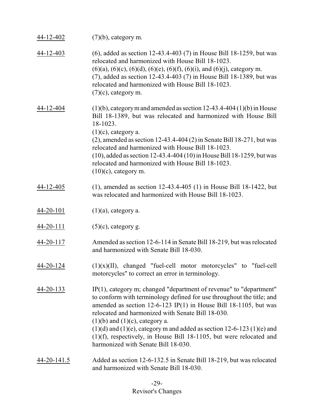| 44-12-402       | $(7)(b)$ , category m.                                                                                                                                                                                                                                                                                                                                                                                                                                                                                          |
|-----------------|-----------------------------------------------------------------------------------------------------------------------------------------------------------------------------------------------------------------------------------------------------------------------------------------------------------------------------------------------------------------------------------------------------------------------------------------------------------------------------------------------------------------|
| 44-12-403       | (6), added as section 12-43.4-403 (7) in House Bill 18-1259, but was<br>relocated and harmonized with House Bill 18-1023.<br>$(6)(a)$ , $(6)(c)$ , $(6)(d)$ , $(6)(e)$ , $(6)(f)$ , $(6)(i)$ , and $(6)(j)$ , category m.<br>(7), added as section 12-43.4-403 (7) in House Bill 18-1389, but was<br>relocated and harmonized with House Bill 18-1023.<br>$(7)(c)$ , category m.                                                                                                                                |
| 44-12-404       | $(1)(b)$ , category m and amended as section 12-43.4-404 $(1)(b)$ in House<br>Bill 18-1389, but was relocated and harmonized with House Bill<br>18-1023.<br>$(1)(c)$ , category a.<br>$(2)$ , amended as section 12-43.4-404 $(2)$ in Senate Bill 18-271, but was<br>relocated and harmonized with House Bill 18-1023.<br>$(10)$ , added as section 12-43.4-404 $(10)$ in House Bill 18-1259, but was<br>relocated and harmonized with House Bill 18-1023.<br>$(10)(c)$ , category m.                           |
| 44-12-405       | $(1)$ , amended as section 12-43.4-405 $(1)$ in House Bill 18-1422, but<br>was relocated and harmonized with House Bill 18-1023.                                                                                                                                                                                                                                                                                                                                                                                |
| $44 - 20 - 101$ | $(1)(a)$ , category a.                                                                                                                                                                                                                                                                                                                                                                                                                                                                                          |
| $44 - 20 - 111$ | $(5)(c)$ , category g.                                                                                                                                                                                                                                                                                                                                                                                                                                                                                          |
| 44-20-117       | Amended as section 12-6-114 in Senate Bill 18-219, but was relocated<br>and harmonized with Senate Bill 18-030.                                                                                                                                                                                                                                                                                                                                                                                                 |
| 44-20-124       | $(1)(x)(II)$ , changed "fuel-cell motor motorcycles" to "fuel-cell<br>motorcycles" to correct an error in terminology.                                                                                                                                                                                                                                                                                                                                                                                          |
| 44-20-133       | IP(1), category m; changed "department of revenue" to "department"<br>to conform with terminology defined for use throughout the title; and<br>amended as section $12-6-123$ IP(1) in House Bill 18-1105, but was<br>relocated and harmonized with Senate Bill 18-030.<br>$(1)(b)$ and $(1)(c)$ , category a.<br>$(1)(d)$ and $(1)(e)$ , category m and added as section 12-6-123 $(1)(e)$ and<br>$(1)(f)$ , respectively, in House Bill 18-1105, but were relocated and<br>harmonized with Senate Bill 18-030. |
| 44-20-141.5     | Added as section 12-6-132.5 in Senate Bill 18-219, but was relocated<br>and harmonized with Senate Bill 18-030.                                                                                                                                                                                                                                                                                                                                                                                                 |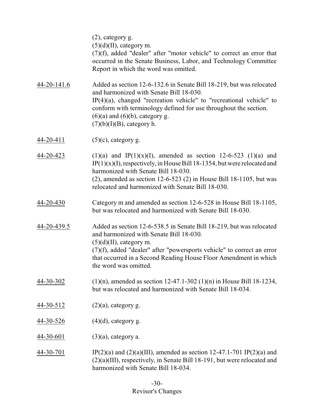|                  | $(2)$ , category g.<br>$(5)(d)(II)$ , category m.<br>$(7)(f)$ , added "dealer" after "motor vehicle" to correct an error that<br>occurred in the Senate Business, Labor, and Technology Committee<br>Report in which the word was omitted.                                                                                           |
|------------------|--------------------------------------------------------------------------------------------------------------------------------------------------------------------------------------------------------------------------------------------------------------------------------------------------------------------------------------|
| 44-20-141.6      | Added as section 12-6-132.6 in Senate Bill 18-219, but was relocated<br>and harmonized with Senate Bill 18-030.<br>$IP(4)(a)$ , changed "recreation vehicle" to "recreational vehicle" to<br>conform with terminology defined for use throughout the section.<br>$(6)(a)$ and $(6)(b)$ , category g.<br>$(7)(b)(I)(B)$ , category h. |
| 44-20-411        | $(5)(c)$ , category g.                                                                                                                                                                                                                                                                                                               |
| <u>44-20-423</u> | $(1)(a)$ and IP(1)(x)(I), amended as section 12-6-523 (1)(a) and<br>$IP(1)(x)(I)$ , respectively, in House Bill 18-1354, but were relocated and<br>harmonized with Senate Bill 18-030.<br>$(2)$ , amended as section 12-6-523 $(2)$ in House Bill 18-1105, but was<br>relocated and harmonized with Senate Bill 18-030.              |
| 44-20-430        | Category m and amended as section 12-6-528 in House Bill 18-1105,<br>but was relocated and harmonized with Senate Bill 18-030.                                                                                                                                                                                                       |
| 44-20-439.5      | Added as section 12-6-538.5 in Senate Bill 18-219, but was relocated<br>and harmonized with Senate Bill 18-030.<br>$(5)(d)(II)$ , category m.<br>$(7)(f)$ , added "dealer" after "powersports vehicle" to correct an error<br>that occurred in a Second Reading House Floor Amendment in which<br>the word was omitted.              |
| 44-30-302        | $(1)(n)$ , amended as section 12-47.1-302 $(1)(n)$ in House Bill 18-1234,<br>but was relocated and harmonized with Senate Bill 18-034.                                                                                                                                                                                               |
| 44-30-512        | $(2)(a)$ , category g.                                                                                                                                                                                                                                                                                                               |
| <u>44-30-526</u> | $(4)(d)$ , category g.                                                                                                                                                                                                                                                                                                               |
| <u>44-30-601</u> | $(3)(a)$ , category a.                                                                                                                                                                                                                                                                                                               |
| <u>44-30-701</u> | IP(2)(a) and (2)(a)(III), amended as section 12-47.1-701 IP(2)(a) and<br>$(2)(a)(III)$ , respectively, in Senate Bill 18-191, but were relocated and<br>harmonized with Senate Bill 18-034.                                                                                                                                          |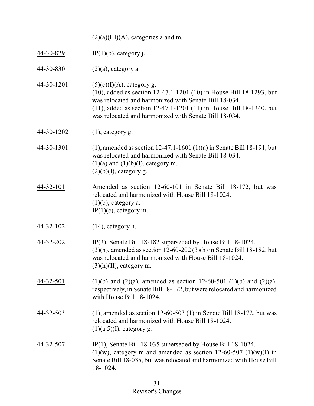|            | $(2)(a)(III)(A)$ , categories a and m.                                                                                                                                                                                                                                                            |
|------------|---------------------------------------------------------------------------------------------------------------------------------------------------------------------------------------------------------------------------------------------------------------------------------------------------|
| 44-30-829  | $IP(1)(b)$ , category j.                                                                                                                                                                                                                                                                          |
| 44-30-830  | $(2)(a)$ , category a.                                                                                                                                                                                                                                                                            |
| 44-30-1201 | $(5)(c)(I)(A)$ , category g.<br>(10), added as section 12-47.1-1201 (10) in House Bill 18-1293, but<br>was relocated and harmonized with Senate Bill 18-034.<br>$(11)$ , added as section 12-47.1-1201 $(11)$ in House Bill 18-1340, but<br>was relocated and harmonized with Senate Bill 18-034. |
| 44-30-1202 | $(1)$ , category g.                                                                                                                                                                                                                                                                               |
| 44-30-1301 | $(1)$ , amended as section 12-47.1-1601 $(1)(a)$ in Senate Bill 18-191, but<br>was relocated and harmonized with Senate Bill 18-034.<br>$(1)(a)$ and $(1)(b)(I)$ , category m.<br>$(2)(b)(I)$ , category g.                                                                                       |
| 44-32-101  | Amended as section 12-60-101 in Senate Bill 18-172, but was<br>relocated and harmonized with House Bill 18-1024.<br>$(1)(b)$ , category a.<br>$IP(1)(c)$ , category m.                                                                                                                            |
| 44-32-102  | $(14)$ , category h.                                                                                                                                                                                                                                                                              |
| 44-32-202  | $IP(3)$ , Senate Bill 18-182 superseded by House Bill 18-1024.<br>$(3)(h)$ , amended as section 12-60-202 $(3)(h)$ in Senate Bill 18-182, but<br>was relocated and harmonized with House Bill 18-1024.<br>$(3)(h)(II)$ , category m.                                                              |
| 44-32-501  | $(1)(b)$ and $(2)(a)$ , amended as section 12-60-501 $(1)(b)$ and $(2)(a)$ ,<br>respectively, in Senate Bill 18-172, but were relocated and harmonized<br>with House Bill 18-1024.                                                                                                                |
| 44-32-503  | $(1)$ , amended as section 12-60-503 $(1)$ in Senate Bill 18-172, but was<br>relocated and harmonized with House Bill 18-1024.<br>$(1)(a.5)(I)$ , category g.                                                                                                                                     |
| 44-32-507  | $IP(1)$ , Senate Bill 18-035 superseded by House Bill 18-1024.<br>$(1)(w)$ , category m and amended as section 12-60-507 $(1)(w)(I)$ in<br>Senate Bill 18-035, but was relocated and harmonized with House Bill<br>18-1024.                                                                       |